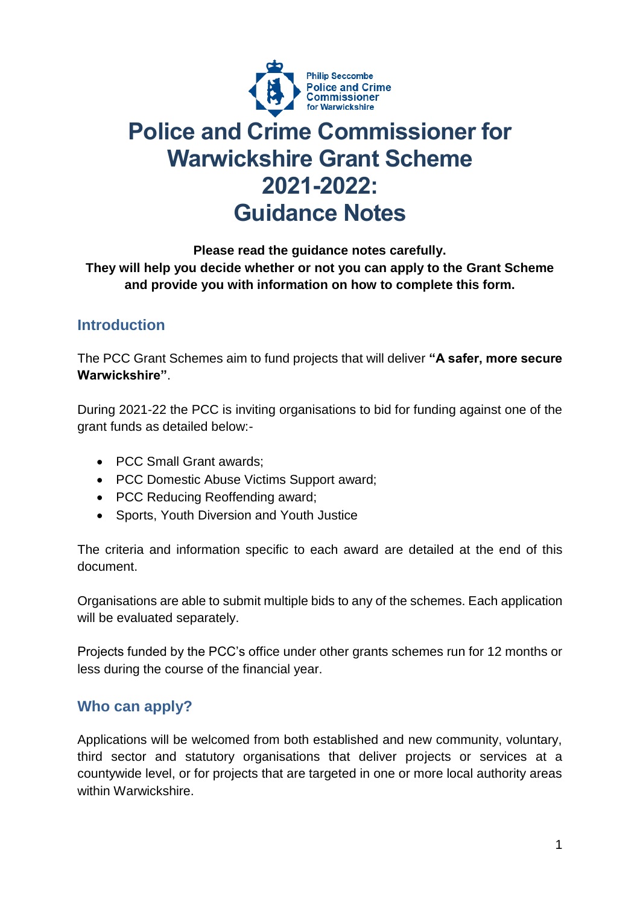

# **Police and Crime Commissioner for Warwickshire Grant Scheme 2021-2022: Guidance Notes**

#### **Please read the guidance notes carefully. They will help you decide whether or not you can apply to the Grant Scheme and provide you with information on how to complete this form.**

# **Introduction**

The PCC Grant Schemes aim to fund projects that will deliver **"A safer, more secure Warwickshire"**.

During 2021-22 the PCC is inviting organisations to bid for funding against one of the grant funds as detailed below:-

- PCC Small Grant awards:
- PCC Domestic Abuse Victims Support award;
- PCC Reducing Reoffending award;
- Sports, Youth Diversion and Youth Justice

The criteria and information specific to each award are detailed at the end of this document.

Organisations are able to submit multiple bids to any of the schemes. Each application will be evaluated separately.

Projects funded by the PCC's office under other grants schemes run for 12 months or less during the course of the financial year.

## **Who can apply?**

Applications will be welcomed from both established and new community, voluntary, third sector and statutory organisations that deliver projects or services at a countywide level, or for projects that are targeted in one or more local authority areas within Warwickshire.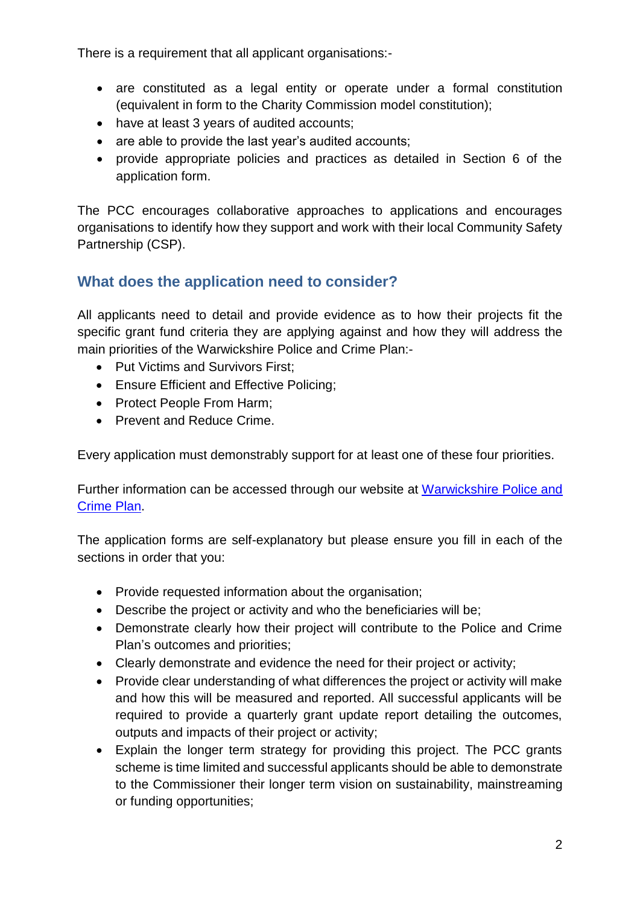There is a requirement that all applicant organisations:-

- are constituted as a legal entity or operate under a formal constitution (equivalent in form to the Charity Commission model constitution);
- have at least 3 years of audited accounts;
- are able to provide the last year's audited accounts;
- provide appropriate policies and practices as detailed in Section 6 of the application form.

The PCC encourages collaborative approaches to applications and encourages organisations to identify how they support and work with their local Community Safety Partnership (CSP).

# **What does the application need to consider?**

All applicants need to detail and provide evidence as to how their projects fit the specific grant fund criteria they are applying against and how they will address the main priorities of the Warwickshire Police and Crime Plan:-

- Put Victims and Survivors First;
- Ensure Efficient and Effective Policing;
- Protect People From Harm;
- Prevent and Reduce Crime.

Every application must demonstrably support for at least one of these four priorities.

Further information can be accessed through our website at [Warwickshire Police and](https://www.warwickshire-pcc.gov.uk/police-and-crime-plan/)  [Crime Plan.](https://www.warwickshire-pcc.gov.uk/police-and-crime-plan/)

The application forms are self-explanatory but please ensure you fill in each of the sections in order that you:

- Provide requested information about the organisation;
- Describe the project or activity and who the beneficiaries will be;
- Demonstrate clearly how their project will contribute to the Police and Crime Plan's outcomes and priorities;
- Clearly demonstrate and evidence the need for their project or activity;
- Provide clear understanding of what differences the project or activity will make and how this will be measured and reported. All successful applicants will be required to provide a quarterly grant update report detailing the outcomes, outputs and impacts of their project or activity;
- Explain the longer term strategy for providing this project. The PCC grants scheme is time limited and successful applicants should be able to demonstrate to the Commissioner their longer term vision on sustainability, mainstreaming or funding opportunities;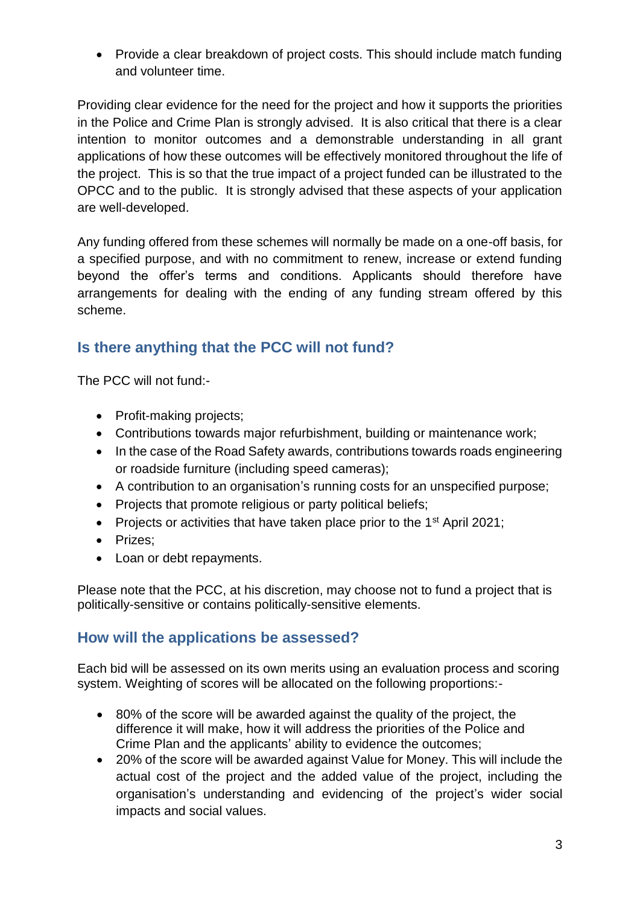• Provide a clear breakdown of project costs. This should include match funding and volunteer time.

Providing clear evidence for the need for the project and how it supports the priorities in the Police and Crime Plan is strongly advised. It is also critical that there is a clear intention to monitor outcomes and a demonstrable understanding in all grant applications of how these outcomes will be effectively monitored throughout the life of the project. This is so that the true impact of a project funded can be illustrated to the OPCC and to the public. It is strongly advised that these aspects of your application are well-developed.

Any funding offered from these schemes will normally be made on a one-off basis, for a specified purpose, and with no commitment to renew, increase or extend funding beyond the offer's terms and conditions. Applicants should therefore have arrangements for dealing with the ending of any funding stream offered by this scheme.

# **Is there anything that the PCC will not fund?**

The PCC will not fund:-

- Profit-making projects;
- Contributions towards major refurbishment, building or maintenance work;
- In the case of the Road Safety awards, contributions towards roads engineering or roadside furniture (including speed cameras);
- A contribution to an organisation's running costs for an unspecified purpose;
- Projects that promote religious or party political beliefs;
- Projects or activities that have taken place prior to the  $1<sup>st</sup>$  April 2021;
- Prizes:
- Loan or debt repayments.

Please note that the PCC, at his discretion, may choose not to fund a project that is politically-sensitive or contains politically-sensitive elements.

## **How will the applications be assessed?**

Each bid will be assessed on its own merits using an evaluation process and scoring system. Weighting of scores will be allocated on the following proportions:-

- 80% of the score will be awarded against the quality of the project, the difference it will make, how it will address the priorities of the Police and Crime Plan and the applicants' ability to evidence the outcomes;
- 20% of the score will be awarded against Value for Money. This will include the actual cost of the project and the added value of the project, including the organisation's understanding and evidencing of the project's wider social impacts and social values.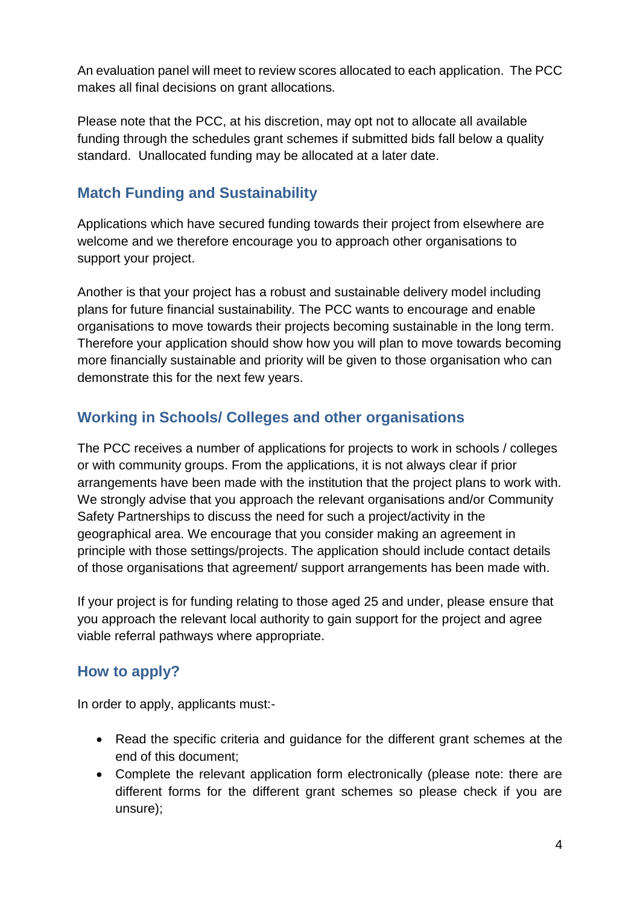An evaluation panel will meet to review scores allocated to each application. The PCC makes all final decisions on grant allocations.

Please note that the PCC, at his discretion, may opt not to allocate all available funding through the schedules grant schemes if submitted bids fall below a quality standard. Unallocated funding may be allocated at a later date.

# **Match Funding and Sustainability**

Applications which have secured funding towards their project from elsewhere are welcome and we therefore encourage you to approach other organisations to support your project.

Another is that your project has a robust and sustainable delivery model including plans for future financial sustainability. The PCC wants to encourage and enable organisations to move towards their projects becoming sustainable in the long term. Therefore your application should show how you will plan to move towards becoming more financially sustainable and priority will be given to those organisation who can demonstrate this for the next few years.

# **Working in Schools/ Colleges and other organisations**

The PCC receives a number of applications for projects to work in schools / colleges or with community groups. From the applications, it is not always clear if prior arrangements have been made with the institution that the project plans to work with. We strongly advise that you approach the relevant organisations and/or Community Safety Partnerships to discuss the need for such a project/activity in the geographical area. We encourage that you consider making an agreement in principle with those settings/projects. The application should include contact details of those organisations that agreement/ support arrangements has been made with.

If your project is for funding relating to those aged 25 and under, please ensure that you approach the relevant local authority to gain support for the project and agree viable referral pathways where appropriate.

# **How to apply?**

In order to apply, applicants must:-

- Read the specific criteria and guidance for the different grant schemes at the end of this document;
- Complete the relevant application form electronically (please note: there are different forms for the different grant schemes so please check if you are unsure);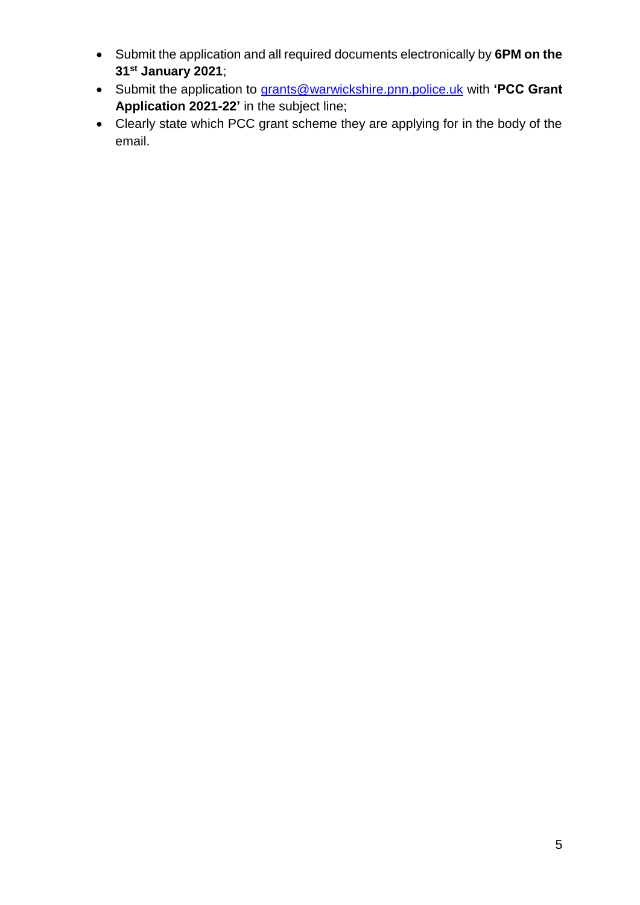- Submit the application and all required documents electronically by **6PM on the 31st January 2021**;
- Submit the application to [grants@warwickshire.pnn.police.uk](mailto:grants@warwickshire.pnn.police.uk) with **'PCC Grant Application 2021-22'** in the subject line;
- Clearly state which PCC grant scheme they are applying for in the body of the email.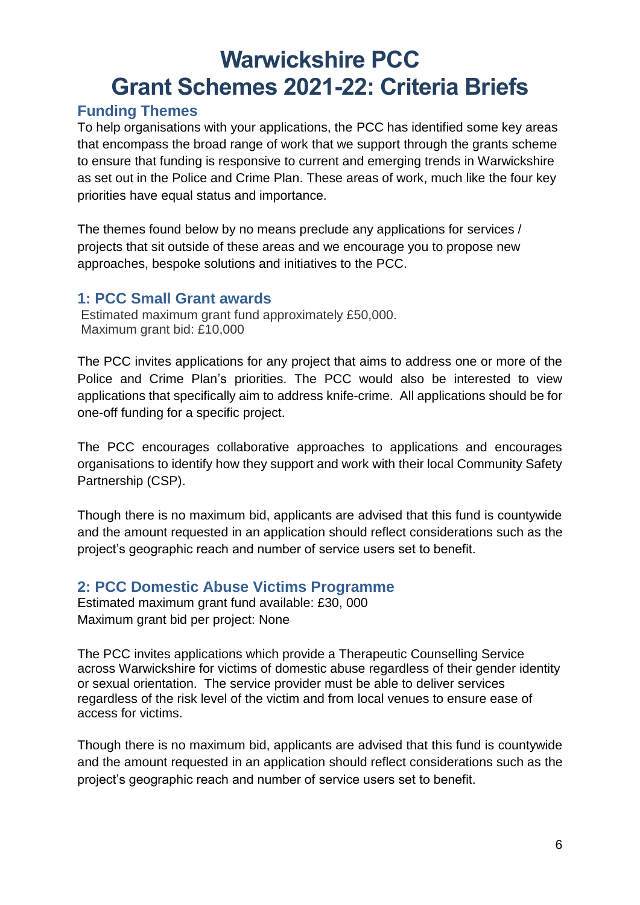# **Warwickshire PCC Grant Schemes 2021-22: Criteria Briefs**

## **Funding Themes**

To help organisations with your applications, the PCC has identified some key areas that encompass the broad range of work that we support through the grants scheme to ensure that funding is responsive to current and emerging trends in Warwickshire as set out in the Police and Crime Plan. These areas of work, much like the four key priorities have equal status and importance.

The themes found below by no means preclude any applications for services / projects that sit outside of these areas and we encourage you to propose new approaches, bespoke solutions and initiatives to the PCC.

### **1: PCC Small Grant awards**

Estimated maximum grant fund approximately £50,000. Maximum grant bid: £10,000

The PCC invites applications for any project that aims to address one or more of the Police and Crime Plan's priorities. The PCC would also be interested to view applications that specifically aim to address knife-crime. All applications should be for one-off funding for a specific project.

The PCC encourages collaborative approaches to applications and encourages organisations to identify how they support and work with their local Community Safety Partnership (CSP).

Though there is no maximum bid, applicants are advised that this fund is countywide and the amount requested in an application should reflect considerations such as the project's geographic reach and number of service users set to benefit.

## **2: PCC Domestic Abuse Victims Programme**

Estimated maximum grant fund available: £30, 000 Maximum grant bid per project: None

The PCC invites applications which provide a Therapeutic Counselling Service across Warwickshire for victims of domestic abuse regardless of their gender identity or sexual orientation. The service provider must be able to deliver services regardless of the risk level of the victim and from local venues to ensure ease of access for victims.

Though there is no maximum bid, applicants are advised that this fund is countywide and the amount requested in an application should reflect considerations such as the project's geographic reach and number of service users set to benefit.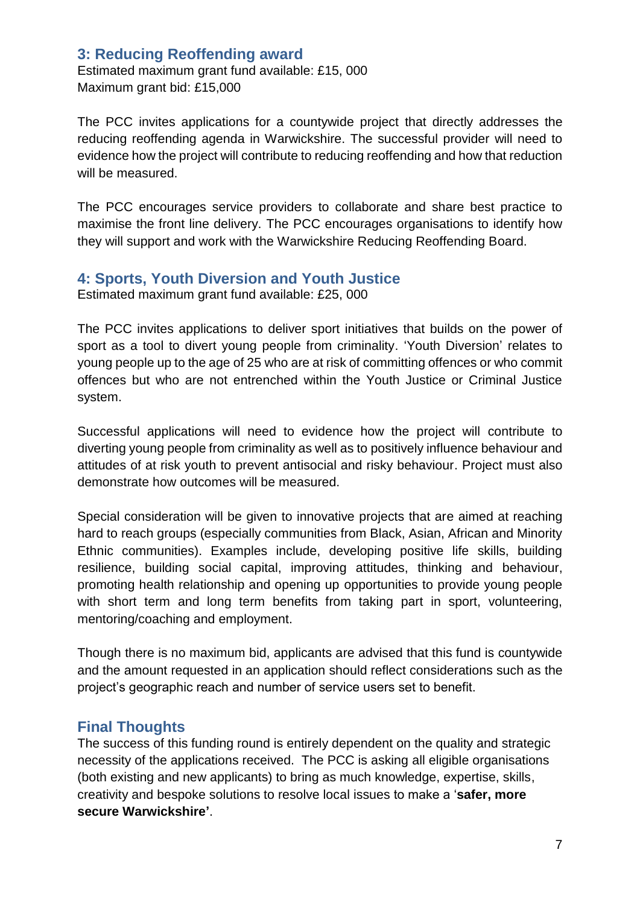### **3: Reducing Reoffending award**

Estimated maximum grant fund available: £15, 000 Maximum grant bid: £15,000

The PCC invites applications for a countywide project that directly addresses the reducing reoffending agenda in Warwickshire. The successful provider will need to evidence how the project will contribute to reducing reoffending and how that reduction will be measured.

The PCC encourages service providers to collaborate and share best practice to maximise the front line delivery. The PCC encourages organisations to identify how they will support and work with the Warwickshire Reducing Reoffending Board.

#### **4: Sports, Youth Diversion and Youth Justice**

Estimated maximum grant fund available: £25, 000

The PCC invites applications to deliver sport initiatives that builds on the power of sport as a tool to divert young people from criminality. 'Youth Diversion' relates to young people up to the age of 25 who are at risk of committing offences or who commit offences but who are not entrenched within the Youth Justice or Criminal Justice system.

Successful applications will need to evidence how the project will contribute to diverting young people from criminality as well as to positively influence behaviour and attitudes of at risk youth to prevent antisocial and risky behaviour. Project must also demonstrate how outcomes will be measured.

Special consideration will be given to innovative projects that are aimed at reaching hard to reach groups (especially communities from Black, Asian, African and Minority Ethnic communities). Examples include, developing positive life skills, building resilience, building social capital, improving attitudes, thinking and behaviour, promoting health relationship and opening up opportunities to provide young people with short term and long term benefits from taking part in sport, volunteering, mentoring/coaching and employment.

Though there is no maximum bid, applicants are advised that this fund is countywide and the amount requested in an application should reflect considerations such as the project's geographic reach and number of service users set to benefit.

## **Final Thoughts**

The success of this funding round is entirely dependent on the quality and strategic necessity of the applications received. The PCC is asking all eligible organisations (both existing and new applicants) to bring as much knowledge, expertise, skills, creativity and bespoke solutions to resolve local issues to make a '**safer, more secure Warwickshire'**.